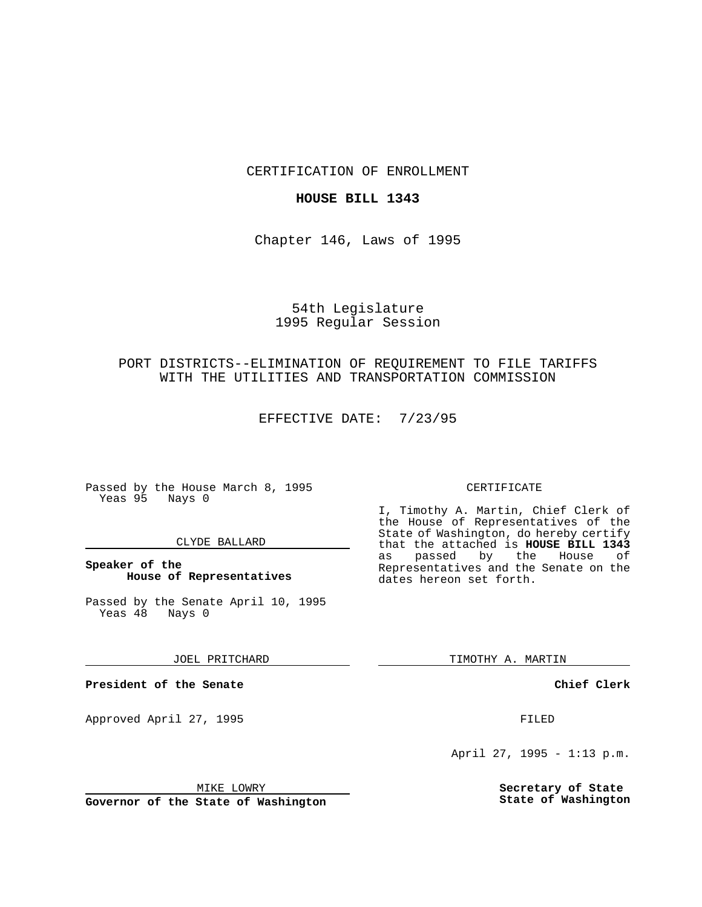CERTIFICATION OF ENROLLMENT

### **HOUSE BILL 1343**

Chapter 146, Laws of 1995

## 54th Legislature 1995 Regular Session

# PORT DISTRICTS--ELIMINATION OF REQUIREMENT TO FILE TARIFFS WITH THE UTILITIES AND TRANSPORTATION COMMISSION

EFFECTIVE DATE: 7/23/95

Passed by the House March 8, 1995 Yeas 95 Nays 0

### CLYDE BALLARD

### **Speaker of the House of Representatives**

Passed by the Senate April 10, 1995<br>Yeas 48 Nays 0 Yeas 48

#### JOEL PRITCHARD

**President of the Senate**

Approved April 27, 1995 FILED

### MIKE LOWRY

**Governor of the State of Washington**

#### CERTIFICATE

I, Timothy A. Martin, Chief Clerk of the House of Representatives of the State of Washington, do hereby certify that the attached is **HOUSE BILL 1343** as passed by the House of Representatives and the Senate on the dates hereon set forth.

TIMOTHY A. MARTIN

### **Chief Clerk**

April 27, 1995 - 1:13 p.m.

**Secretary of State State of Washington**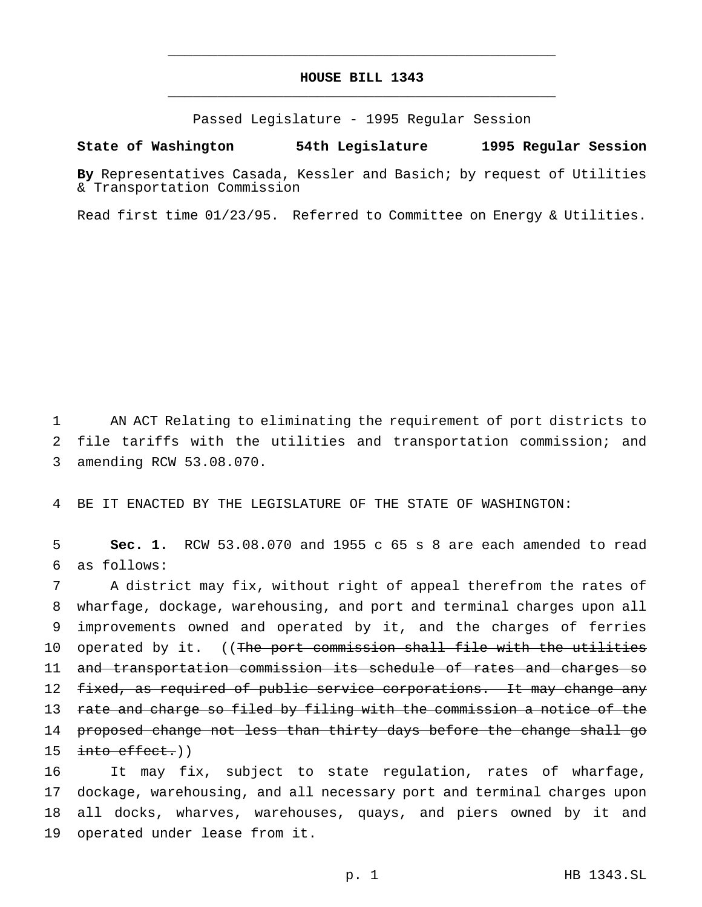## **HOUSE BILL 1343** \_\_\_\_\_\_\_\_\_\_\_\_\_\_\_\_\_\_\_\_\_\_\_\_\_\_\_\_\_\_\_\_\_\_\_\_\_\_\_\_\_\_\_\_\_\_\_

\_\_\_\_\_\_\_\_\_\_\_\_\_\_\_\_\_\_\_\_\_\_\_\_\_\_\_\_\_\_\_\_\_\_\_\_\_\_\_\_\_\_\_\_\_\_\_

Passed Legislature - 1995 Regular Session

#### **State of Washington 54th Legislature 1995 Regular Session**

**By** Representatives Casada, Kessler and Basich; by request of Utilities & Transportation Commission

Read first time 01/23/95. Referred to Committee on Energy & Utilities.

1 AN ACT Relating to eliminating the requirement of port districts to 2 file tariffs with the utilities and transportation commission; and 3 amending RCW 53.08.070.

4 BE IT ENACTED BY THE LEGISLATURE OF THE STATE OF WASHINGTON:

5 **Sec. 1.** RCW 53.08.070 and 1955 c 65 s 8 are each amended to read 6 as follows:

7 A district may fix, without right of appeal therefrom the rates of 8 wharfage, dockage, warehousing, and port and terminal charges upon all 9 improvements owned and operated by it, and the charges of ferries 10 operated by it. ((The port commission shall file with the utilities 11 and transportation commission its schedule of rates and charges so 12 fixed, as required of public service corporations. It may change any 13 rate and charge so filed by filing with the commission a notice of the 14 proposed change not less than thirty days before the change shall go 15 into effect.))

 It may fix, subject to state regulation, rates of wharfage, dockage, warehousing, and all necessary port and terminal charges upon all docks, wharves, warehouses, quays, and piers owned by it and operated under lease from it.